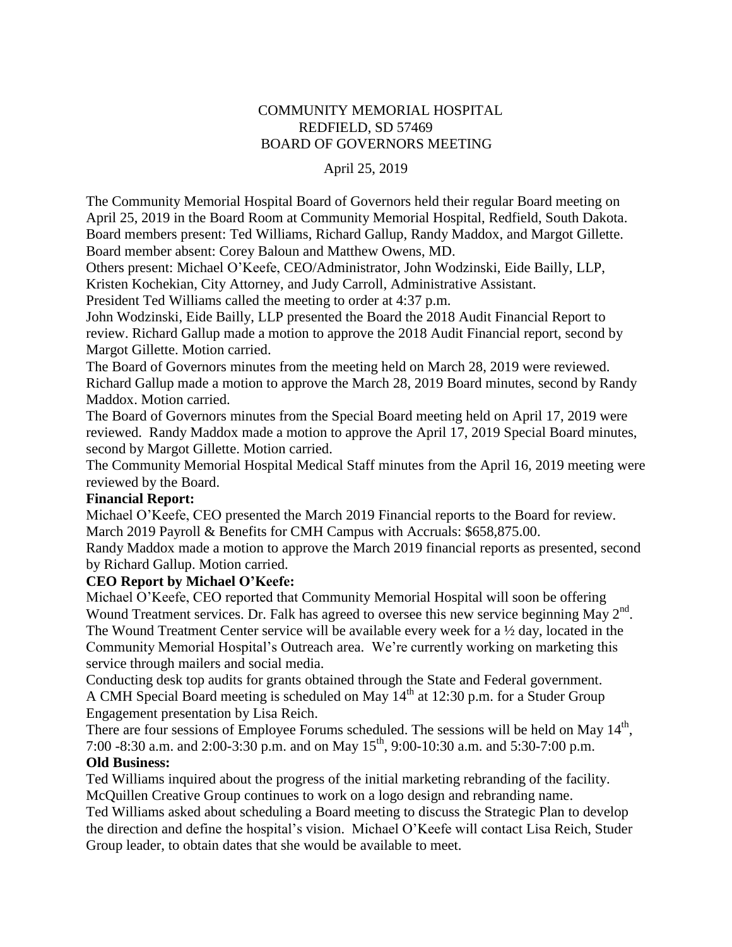# COMMUNITY MEMORIAL HOSPITAL REDFIELD, SD 57469 BOARD OF GOVERNORS MEETING

### April 25, 2019

The Community Memorial Hospital Board of Governors held their regular Board meeting on April 25, 2019 in the Board Room at Community Memorial Hospital, Redfield, South Dakota. Board members present: Ted Williams, Richard Gallup, Randy Maddox, and Margot Gillette. Board member absent: Corey Baloun and Matthew Owens, MD.

Others present: Michael O'Keefe, CEO/Administrator, John Wodzinski, Eide Bailly, LLP, Kristen Kochekian, City Attorney, and Judy Carroll, Administrative Assistant.

President Ted Williams called the meeting to order at 4:37 p.m.

John Wodzinski, Eide Bailly, LLP presented the Board the 2018 Audit Financial Report to review. Richard Gallup made a motion to approve the 2018 Audit Financial report, second by Margot Gillette. Motion carried.

The Board of Governors minutes from the meeting held on March 28, 2019 were reviewed. Richard Gallup made a motion to approve the March 28, 2019 Board minutes, second by Randy Maddox. Motion carried.

The Board of Governors minutes from the Special Board meeting held on April 17, 2019 were reviewed. Randy Maddox made a motion to approve the April 17, 2019 Special Board minutes, second by Margot Gillette. Motion carried.

The Community Memorial Hospital Medical Staff minutes from the April 16, 2019 meeting were reviewed by the Board.

#### **Financial Report:**

Michael O'Keefe, CEO presented the March 2019 Financial reports to the Board for review. March 2019 Payroll & Benefits for CMH Campus with Accruals: \$658,875.00.

Randy Maddox made a motion to approve the March 2019 financial reports as presented, second by Richard Gallup. Motion carried.

# **CEO Report by Michael O'Keefe:**

Michael O'Keefe, CEO reported that Community Memorial Hospital will soon be offering Wound Treatment services. Dr. Falk has agreed to oversee this new service beginning May  $2<sup>nd</sup>$ . The Wound Treatment Center service will be available every week for a ½ day, located in the Community Memorial Hospital's Outreach area. We're currently working on marketing this service through mailers and social media.

Conducting desk top audits for grants obtained through the State and Federal government. A CMH Special Board meeting is scheduled on May  $14<sup>th</sup>$  at 12:30 p.m. for a Studer Group Engagement presentation by Lisa Reich.

There are four sessions of Employee Forums scheduled. The sessions will be held on May  $14<sup>th</sup>$ , 7:00 -8:30 a.m. and 2:00-3:30 p.m. and on May  $15^{th}$ , 9:00-10:30 a.m. and 5:30-7:00 p.m. **Old Business:** 

# Ted Williams inquired about the progress of the initial marketing rebranding of the facility.

McQuillen Creative Group continues to work on a logo design and rebranding name.

Ted Williams asked about scheduling a Board meeting to discuss the Strategic Plan to develop the direction and define the hospital's vision. Michael O'Keefe will contact Lisa Reich, Studer Group leader, to obtain dates that she would be available to meet.